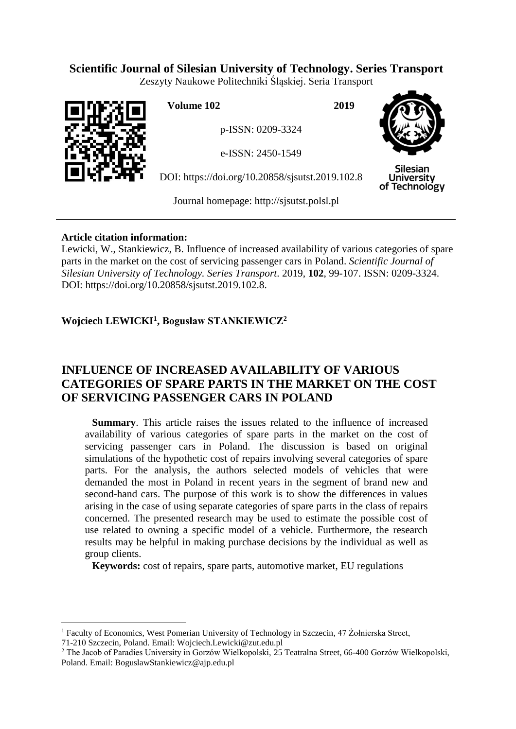# **Scientific Journal of Silesian University of Technology. Series Transport**

Zeszyty Naukowe Politechniki Śląskiej. Seria Transport



 $\overline{a}$ 

**Volume 102 2019**

p-ISSN: 0209-3324

e-ISSN: 2450-1549

DOI: https://doi.org/10.20858/sjsutst.2019.102.8



Silesian **University** of Technology

Journal homepage: [http://sjsutst.polsl.pl](http://sjsutst.polsl.pl/)

# **Article citation information:**

Lewicki, W., Stankiewicz, B. Influence of increased availability of various categories of spare parts in the market on the cost of servicing passenger cars in Poland. *Scientific Journal of Silesian University of Technology. Series Transport*. 2019, **102**, 99-107. ISSN: 0209-3324. DOI: https://doi.org/10.20858/sjsutst.2019.102.8.

# **Wojciech LEWICKI<sup>1</sup> , Bogusław STANKIEWICZ<sup>2</sup>**

# **INFLUENCE OF INCREASED AVAILABILITY OF VARIOUS CATEGORIES OF SPARE PARTS IN THE MARKET ON THE COST OF SERVICING PASSENGER CARS IN POLAND**

**Summary**. This article raises the issues related to the influence of increased availability of various categories of spare parts in the market on the cost of servicing passenger cars in Poland. The discussion is based on original simulations of the hypothetic cost of repairs involving several categories of spare parts. For the analysis, the authors selected models of vehicles that were demanded the most in Poland in recent years in the segment of brand new and second-hand cars. The purpose of this work is to show the differences in values arising in the case of using separate categories of spare parts in the class of repairs concerned. The presented research may be used to estimate the possible cost of use related to owning a specific model of a vehicle. Furthermore, the research results may be helpful in making purchase decisions by the individual as well as group clients.

**Keywords:** cost of repairs, spare parts, automotive market, EU regulations

<sup>&</sup>lt;sup>1</sup> Faculty of Economics, West Pomerian University of Technology in Szczecin, 47 Żołnierska Street, 71-210 Szczecin, Poland. Email: Wojciech.Lewicki@zut.edu.pl

<sup>2</sup> The Jacob of Paradies University in Gorzów Wielkopolski, 25 Teatralna Street, 66-400 Gorzów Wielkopolski, Poland. Email: BoguslawStankiewicz@ajp.edu.pl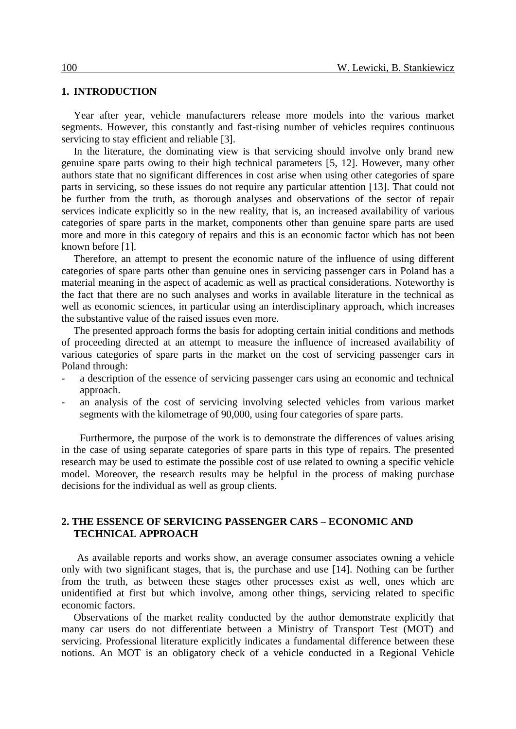#### **1. INTRODUCTION**

Year after year, vehicle manufacturers release more models into the various market segments. However, this constantly and fast-rising number of vehicles requires continuous servicing to stay efficient and reliable [3].

In the literature, the dominating view is that servicing should involve only brand new genuine spare parts owing to their high technical parameters [5, 12]. However, many other authors state that no significant differences in cost arise when using other categories of spare parts in servicing, so these issues do not require any particular attention [13]. That could not be further from the truth, as thorough analyses and observations of the sector of repair services indicate explicitly so in the new reality, that is, an increased availability of various categories of spare parts in the market, components other than genuine spare parts are used more and more in this category of repairs and this is an economic factor which has not been known before [1].

Therefore, an attempt to present the economic nature of the influence of using different categories of spare parts other than genuine ones in servicing passenger cars in Poland has a material meaning in the aspect of academic as well as practical considerations. Noteworthy is the fact that there are no such analyses and works in available literature in the technical as well as economic sciences, in particular using an interdisciplinary approach, which increases the substantive value of the raised issues even more.

The presented approach forms the basis for adopting certain initial conditions and methods of proceeding directed at an attempt to measure the influence of increased availability of various categories of spare parts in the market on the cost of servicing passenger cars in Poland through:

- a description of the essence of servicing passenger cars using an economic and technical approach.
- an analysis of the cost of servicing involving selected vehicles from various market segments with the kilometrage of 90,000, using four categories of spare parts.

Furthermore, the purpose of the work is to demonstrate the differences of values arising in the case of using separate categories of spare parts in this type of repairs. The presented research may be used to estimate the possible cost of use related to owning a specific vehicle model. Moreover, the research results may be helpful in the process of making purchase decisions for the individual as well as group clients.

## **2. THE ESSENCE OF SERVICING PASSENGER CARS – ECONOMIC AND TECHNICAL APPROACH**

As available reports and works show, an average consumer associates owning a vehicle only with two significant stages, that is, the purchase and use [14]. Nothing can be further from the truth, as between these stages other processes exist as well, ones which are unidentified at first but which involve, among other things, servicing related to specific economic factors.

Observations of the market reality conducted by the author demonstrate explicitly that many car users do not differentiate between a Ministry of Transport Test (MOT) and servicing. Professional literature explicitly indicates a fundamental difference between these notions. An MOT is an obligatory check of a vehicle conducted in a Regional Vehicle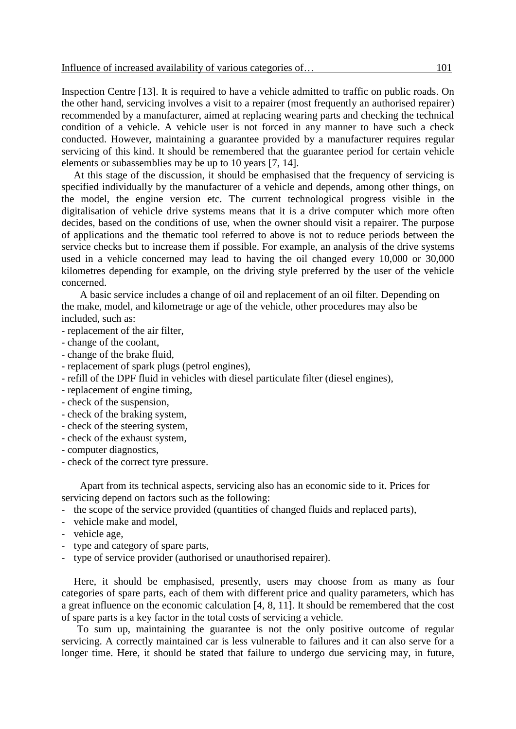Inspection Centre [13]. It is required to have a vehicle admitted to traffic on public roads. On the other hand, servicing involves a visit to a repairer (most frequently an authorised repairer) recommended by a manufacturer, aimed at replacing wearing parts and checking the technical condition of a vehicle. A vehicle user is not forced in any manner to have such a check conducted. However, maintaining a guarantee provided by a manufacturer requires regular servicing of this kind. It should be remembered that the guarantee period for certain vehicle elements or subassemblies may be up to 10 years [7, 14].

At this stage of the discussion, it should be emphasised that the frequency of servicing is specified individually by the manufacturer of a vehicle and depends, among other things, on the model, the engine version etc. The current technological progress visible in the digitalisation of vehicle drive systems means that it is a drive computer which more often decides, based on the conditions of use, when the owner should visit a repairer. The purpose of applications and the thematic tool referred to above is not to reduce periods between the service checks but to increase them if possible. For example, an analysis of the drive systems used in a vehicle concerned may lead to having the oil changed every 10,000 or 30,000 kilometres depending for example, on the driving style preferred by the user of the vehicle concerned.

A basic service includes a change of oil and replacement of an oil filter. Depending on the make, model, and kilometrage or age of the vehicle, other procedures may also be included, such as:

- replacement of the air filter,
- change of the coolant,
- change of the brake fluid,
- replacement of spark plugs (petrol engines),
- refill of the DPF fluid in vehicles with diesel particulate filter (diesel engines),
- replacement of engine timing,
- check of the suspension,
- check of the braking system,
- check of the steering system,
- check of the exhaust system,
- computer diagnostics,
- check of the correct tyre pressure.

Apart from its technical aspects, servicing also has an economic side to it. Prices for servicing depend on factors such as the following:

- the scope of the service provided (quantities of changed fluids and replaced parts),
- vehicle make and model,
- vehicle age,
- type and category of spare parts,
- type of service provider (authorised or unauthorised repairer).

Here, it should be emphasised, presently, users may choose from as many as four categories of spare parts, each of them with different price and quality parameters, which has a great influence on the economic calculation [4, 8, 11]. It should be remembered that the cost of spare parts is a key factor in the total costs of servicing a vehicle.

To sum up, maintaining the guarantee is not the only positive outcome of regular servicing. A correctly maintained car is less vulnerable to failures and it can also serve for a longer time. Here, it should be stated that failure to undergo due servicing may, in future,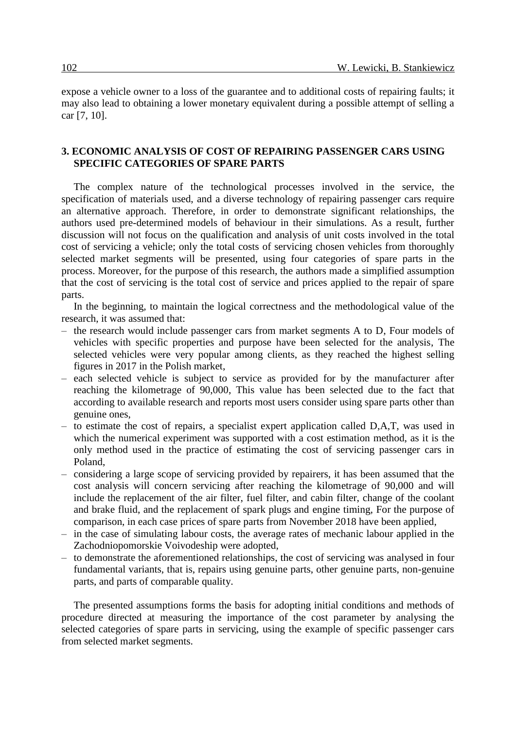expose a vehicle owner to a loss of the guarantee and to additional costs of repairing faults; it may also lead to obtaining a lower monetary equivalent during a possible attempt of selling a car [7, 10].

### **3. ECONOMIC ANALYSIS OF COST OF REPAIRING PASSENGER CARS USING SPECIFIC CATEGORIES OF SPARE PARTS**

The complex nature of the technological processes involved in the service, the specification of materials used, and a diverse technology of repairing passenger cars require an alternative approach. Therefore, in order to demonstrate significant relationships, the authors used pre-determined models of behaviour in their simulations. As a result, further discussion will not focus on the qualification and analysis of unit costs involved in the total cost of servicing a vehicle; only the total costs of servicing chosen vehicles from thoroughly selected market segments will be presented, using four categories of spare parts in the process. Moreover, for the purpose of this research, the authors made a simplified assumption that the cost of servicing is the total cost of service and prices applied to the repair of spare parts.

In the beginning, to maintain the logical correctness and the methodological value of the research, it was assumed that:

- the research would include passenger cars from market segments A to D, Four models of vehicles with specific properties and purpose have been selected for the analysis, The selected vehicles were very popular among clients, as they reached the highest selling figures in 2017 in the Polish market,
- each selected vehicle is subject to service as provided for by the manufacturer after reaching the kilometrage of 90,000, This value has been selected due to the fact that according to available research and reports most users consider using spare parts other than genuine ones,
- to estimate the cost of repairs, a specialist expert application called D,A,T, was used in which the numerical experiment was supported with a cost estimation method, as it is the only method used in the practice of estimating the cost of servicing passenger cars in Poland,
- considering a large scope of servicing provided by repairers, it has been assumed that the cost analysis will concern servicing after reaching the kilometrage of 90,000 and will include the replacement of the air filter, fuel filter, and cabin filter, change of the coolant and brake fluid, and the replacement of spark plugs and engine timing, For the purpose of comparison, in each case prices of spare parts from November 2018 have been applied,
- in the case of simulating labour costs, the average rates of mechanic labour applied in the Zachodniopomorskie Voivodeship were adopted,
- to demonstrate the aforementioned relationships, the cost of servicing was analysed in four fundamental variants, that is, repairs using genuine parts, other genuine parts, non-genuine parts, and parts of comparable quality.

The presented assumptions forms the basis for adopting initial conditions and methods of procedure directed at measuring the importance of the cost parameter by analysing the selected categories of spare parts in servicing, using the example of specific passenger cars from selected market segments.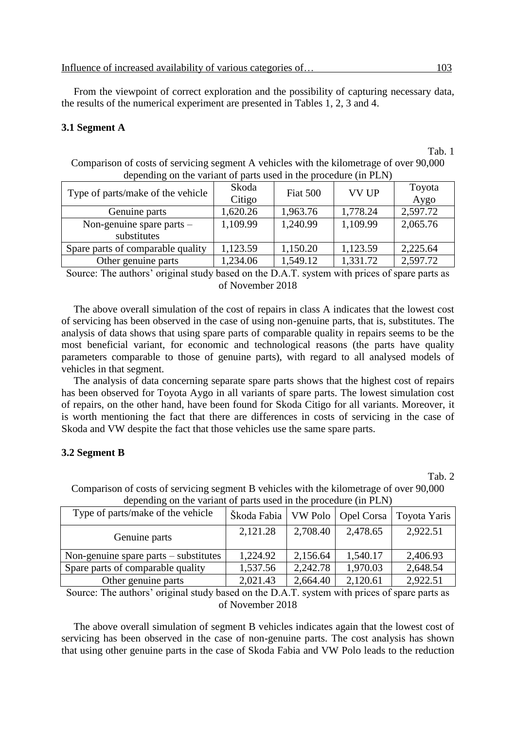From the viewpoint of correct exploration and the possibility of capturing necessary data, the results of the numerical experiment are presented in Tables 1, 2, 3 and 4.

#### **3.1 Segment A**

Comparison of costs of servicing segment A vehicles with the kilometrage of over 90,000 depending on the variant of parts used in the procedure (in PLN)

| Type of parts/make of the vehicle          | Skoda<br>Citigo | Fiat 500 | <b>VV UP</b> | Toyota<br>Aygo |
|--------------------------------------------|-----------------|----------|--------------|----------------|
| Genuine parts                              | 1,620.26        | 1,963.76 | 1,778.24     | 2,597.72       |
| Non-genuine spare parts $-$<br>substitutes | 1,109.99        | 1,240.99 | 1,109.99     | 2,065.76       |
| Spare parts of comparable quality          | 1,123.59        | 1,150.20 | 1,123.59     | 2,225.64       |
| Other genuine parts                        | 1,234.06        | 1,549.12 | 1,331.72     | 2,597.72       |

Source: The authors' original study based on the D.A.T. system with prices of spare parts as of November 2018

The above overall simulation of the cost of repairs in class A indicates that the lowest cost of servicing has been observed in the case of using non-genuine parts, that is, substitutes. The analysis of data shows that using spare parts of comparable quality in repairs seems to be the most beneficial variant, for economic and technological reasons (the parts have quality parameters comparable to those of genuine parts), with regard to all analysed models of vehicles in that segment.

The analysis of data concerning separate spare parts shows that the highest cost of repairs has been observed for Toyota Aygo in all variants of spare parts. The lowest simulation cost of repairs, on the other hand, have been found for Skoda Citigo for all variants. Moreover, it is worth mentioning the fact that there are differences in costs of servicing in the case of Skoda and VW despite the fact that those vehicles use the same spare parts.

#### **3.2 Segment B**

Tab. 2

| depending on the variant of parts used in the procedure (in FLN) |                                    |          |          |              |
|------------------------------------------------------------------|------------------------------------|----------|----------|--------------|
| Type of parts/make of the vehicle                                | Škoda Fabia   VW Polo   Opel Corsa |          |          | Toyota Yaris |
| Genuine parts                                                    | 2,121.28                           | 2,708.40 | 2,478.65 | 2,922.51     |
| Non-genuine spare parts $-$ substitutes                          | 1,224.92                           | 2,156.64 | 1,540.17 | 2,406.93     |
| Spare parts of comparable quality                                | 1,537.56                           | 2,242.78 | 1,970.03 | 2,648.54     |
| Other genuine parts                                              | 2,021.43                           | 2,664.40 | 2,120.61 | 2,922.51     |

Comparison of costs of servicing segment B vehicles with the kilometrage of over 90,000 depending on the variant of parts used in the procedure (in PLN)

Source: The authors' original study based on the D.A.T. system with prices of spare parts as of November 2018

The above overall simulation of segment B vehicles indicates again that the lowest cost of servicing has been observed in the case of non-genuine parts. The cost analysis has shown that using other genuine parts in the case of Skoda Fabia and VW Polo leads to the reduction

Tab. 1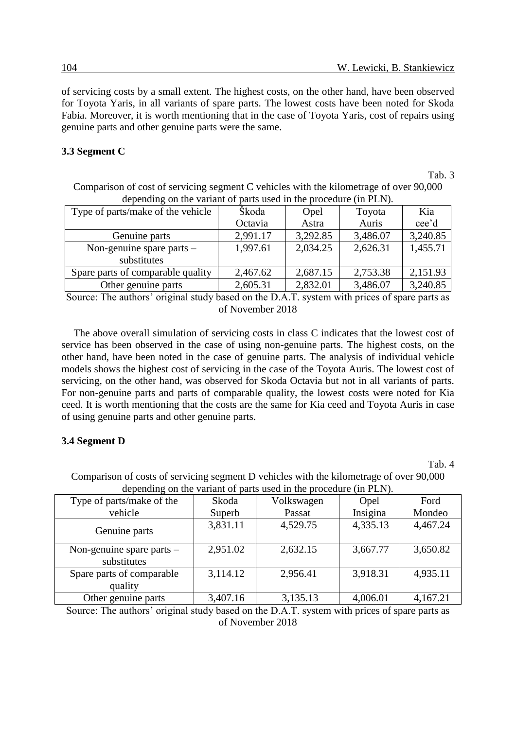of servicing costs by a small extent. The highest costs, on the other hand, have been observed for Toyota Yaris, in all variants of spare parts. The lowest costs have been noted for Skoda Fabia. Moreover, it is worth mentioning that in the case of Toyota Yaris, cost of repairs using genuine parts and other genuine parts were the same.

#### **3.3 Segment C**

Tab. 3

Comparison of cost of servicing segment C vehicles with the kilometrage of over 90,000 depending on the variant of parts used in the procedure (in PLN).

| Type of parts/make of the vehicle | Škoda    | Opel     | Toyota   | Kia      |
|-----------------------------------|----------|----------|----------|----------|
|                                   | Octavia  | Astra    | Auris    | cee'd    |
| Genuine parts                     | 2,991.17 | 3,292.85 | 3,486.07 | 3,240.85 |
| Non-genuine spare parts $-$       | 1,997.61 | 2,034.25 | 2,626.31 | 1,455.71 |
| substitutes                       |          |          |          |          |
| Spare parts of comparable quality | 2,467.62 | 2,687.15 | 2,753.38 | 2,151.93 |
| Other genuine parts               | 2,605.31 | 2,832.01 | 3,486.07 | 3,240.85 |

Source: The authors' original study based on the D.A.T. system with prices of spare parts as of November 2018

The above overall simulation of servicing costs in class C indicates that the lowest cost of service has been observed in the case of using non-genuine parts. The highest costs, on the other hand, have been noted in the case of genuine parts. The analysis of individual vehicle models shows the highest cost of servicing in the case of the Toyota Auris. The lowest cost of servicing, on the other hand, was observed for Skoda Octavia but not in all variants of parts. For non-genuine parts and parts of comparable quality, the lowest costs were noted for Kia ceed. It is worth mentioning that the costs are the same for Kia ceed and Toyota Auris in case of using genuine parts and other genuine parts.

## **3.4 Segment D**

Tab. 4

Comparison of costs of servicing segment D vehicles with the kilometrage of over 90,000 depending on the variant of parts used in the procedure (in PLN).

| $\alpha$ appointing on the variant of parts ased in the procedure (in Fig. 1). |          |            |          |          |
|--------------------------------------------------------------------------------|----------|------------|----------|----------|
| Type of parts/make of the                                                      | Skoda    | Volkswagen | Opel     | Ford     |
| vehicle                                                                        | Superb   | Passat     | Insigina | Mondeo   |
| Genuine parts                                                                  | 3,831.11 | 4,529.75   | 4,335.13 | 4,467.24 |
| Non-genuine spare parts $-$<br>substitutes                                     | 2,951.02 | 2,632.15   | 3,667.77 | 3,650.82 |
| Spare parts of comparable                                                      | 3,114.12 | 2,956.41   | 3,918.31 | 4,935.11 |
| quality                                                                        |          |            |          |          |
| Other genuine parts                                                            | 3,407.16 | 3,135.13   | 4,006.01 | 4,167.21 |

Source: The authors' original study based on the D.A.T. system with prices of spare parts as of November 2018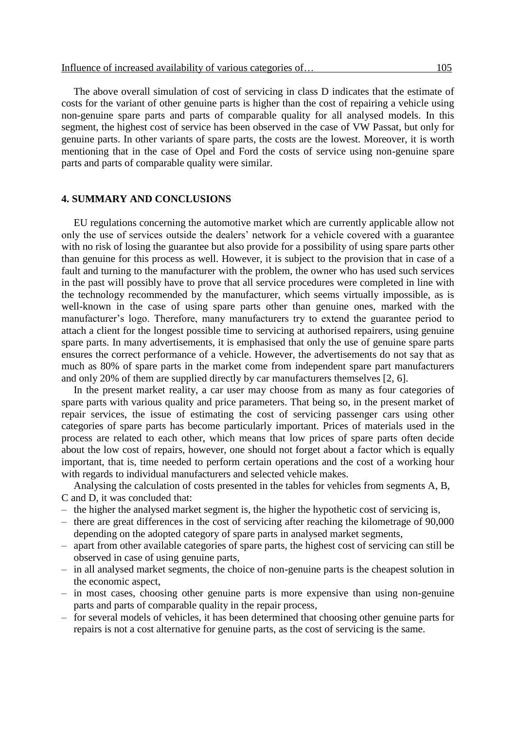The above overall simulation of cost of servicing in class D indicates that the estimate of costs for the variant of other genuine parts is higher than the cost of repairing a vehicle using non-genuine spare parts and parts of comparable quality for all analysed models. In this segment, the highest cost of service has been observed in the case of VW Passat, but only for genuine parts. In other variants of spare parts, the costs are the lowest. Moreover, it is worth mentioning that in the case of Opel and Ford the costs of service using non-genuine spare parts and parts of comparable quality were similar.

#### **4. SUMMARY AND CONCLUSIONS**

EU regulations concerning the automotive market which are currently applicable allow not only the use of services outside the dealers' network for a vehicle covered with a guarantee with no risk of losing the guarantee but also provide for a possibility of using spare parts other than genuine for this process as well. However, it is subject to the provision that in case of a fault and turning to the manufacturer with the problem, the owner who has used such services in the past will possibly have to prove that all service procedures were completed in line with the technology recommended by the manufacturer, which seems virtually impossible, as is well-known in the case of using spare parts other than genuine ones, marked with the manufacturer's logo. Therefore, many manufacturers try to extend the guarantee period to attach a client for the longest possible time to servicing at authorised repairers, using genuine spare parts. In many advertisements, it is emphasised that only the use of genuine spare parts ensures the correct performance of a vehicle. However, the advertisements do not say that as much as 80% of spare parts in the market come from independent spare part manufacturers and only 20% of them are supplied directly by car manufacturers themselves [2, 6].

In the present market reality, a car user may choose from as many as four categories of spare parts with various quality and price parameters. That being so, in the present market of repair services, the issue of estimating the cost of servicing passenger cars using other categories of spare parts has become particularly important. Prices of materials used in the process are related to each other, which means that low prices of spare parts often decide about the low cost of repairs, however, one should not forget about a factor which is equally important, that is, time needed to perform certain operations and the cost of a working hour with regards to individual manufacturers and selected vehicle makes.

Analysing the calculation of costs presented in the tables for vehicles from segments A, B, C and D, it was concluded that:

- the higher the analysed market segment is, the higher the hypothetic cost of servicing is,
- there are great differences in the cost of servicing after reaching the kilometrage of 90,000 depending on the adopted category of spare parts in analysed market segments,
- apart from other available categories of spare parts, the highest cost of servicing can still be observed in case of using genuine parts,
- in all analysed market segments, the choice of non-genuine parts is the cheapest solution in the economic aspect,
- in most cases, choosing other genuine parts is more expensive than using non-genuine parts and parts of comparable quality in the repair process,
- for several models of vehicles, it has been determined that choosing other genuine parts for repairs is not a cost alternative for genuine parts, as the cost of servicing is the same.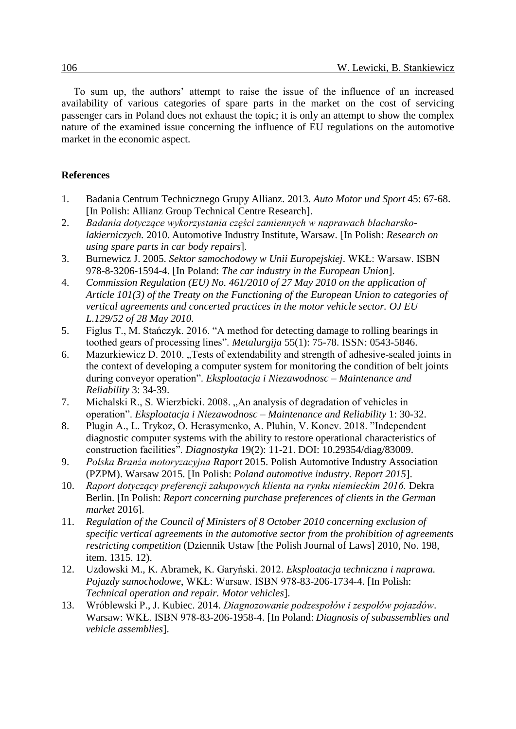To sum up, the authors' attempt to raise the issue of the influence of an increased availability of various categories of spare parts in the market on the cost of servicing passenger cars in Poland does not exhaust the topic; it is only an attempt to show the complex nature of the examined issue concerning the influence of EU regulations on the automotive market in the economic aspect.

### **References**

- 1. Badania Centrum Technicznego Grupy Allianz*.* 2013. *Auto Motor und Sport* 45: 67-68. [In Polish: Allianz Group Technical Centre Research].
- 2. *Badania dotyczące wykorzystania części zamiennych w naprawach blacharskolakierniczych.* 2010. Automotive Industry Institute, Warsaw. [In Polish: *Research on using spare parts in car body repairs*].
- 3. Burnewicz J. 2005. *Sektor samochodowy w Unii Europejskiej*. WKŁ: Warsaw. ISBN 978-8-3206-1594-4. [In Poland: *The car industry in the European Union*].
- 4. *Commission Regulation (EU) No. 461/2010 of 27 May 2010 on the application of Article 101(3) of the Treaty on the Functioning of the European Union to categories of vertical agreements and concerted practices in the motor vehicle sector. OJ EU L.129/52 of 28 May 2010.*
- 5. Figlus T., M. Stańczyk. 2016. "A method for detecting damage to rolling bearings in toothed gears of processing lines". *Metalurgija* 55(1): 75-78. ISSN: 0543-5846.
- 6. Mazurkiewicz D. 2010. "Tests of extendability and strength of adhesive-sealed joints in the context of developing a computer system for monitoring the condition of belt joints during conveyor operation". *Eksploatacja i Niezawodnosc – Maintenance and Reliability* 3: 34-39.
- 7. Michalski R., S. Wierzbicki. 2008. "An analysis of degradation of vehicles in operation". *Eksploatacja i Niezawodnosc – Maintenance and Reliability* 1: 30-32.
- 8. Plugin A., L. Trykoz, O. Herasymenko, A. Pluhin, V. Konev. 2018. "Independent diagnostic computer systems with the ability to restore operational characteristics of construction facilities". *Diagnostyka* 19(2): 11-21. DOI: 10.29354/diag/83009.
- 9. *Polska Branża motoryzacyjna Raport* 2015. Polish Automotive Industry Association (PZPM). Warsaw 2015. [In Polish: *Poland automotive industry. Report 2015*].
- 10. *Raport dotyczący preferencji zakupowych klienta na rynku niemieckim 2016.* Dekra Berlin. [In Polish: *Report concerning purchase preferences of clients in the German market* 2016].
- 11. *Regulation of the Council of Ministers of 8 October 2010 concerning exclusion of specific vertical agreements in the automotive sector from the prohibition of agreements restricting competition* (Dziennik Ustaw [the Polish Journal of Laws] 2010, No. 198, item. 1315. 12).
- 12. Uzdowski M., K. Abramek, K. Garyński. 2012. *Eksploatacja techniczna i naprawa. Pojazdy samochodowe*, WKŁ: Warsaw. ISBN 978-83-206-1734-4. [In Polish: *Technical operation and repair. Motor vehicles*].
- 13. Wróblewski P., J. Kubiec. 2014. *Diagnozowanie podzespołów i zespołów pojazdów*. Warsaw: WKŁ. ISBN 978-83-206-1958-4. [In Poland: *Diagnosis of subassemblies and vehicle assemblies*].